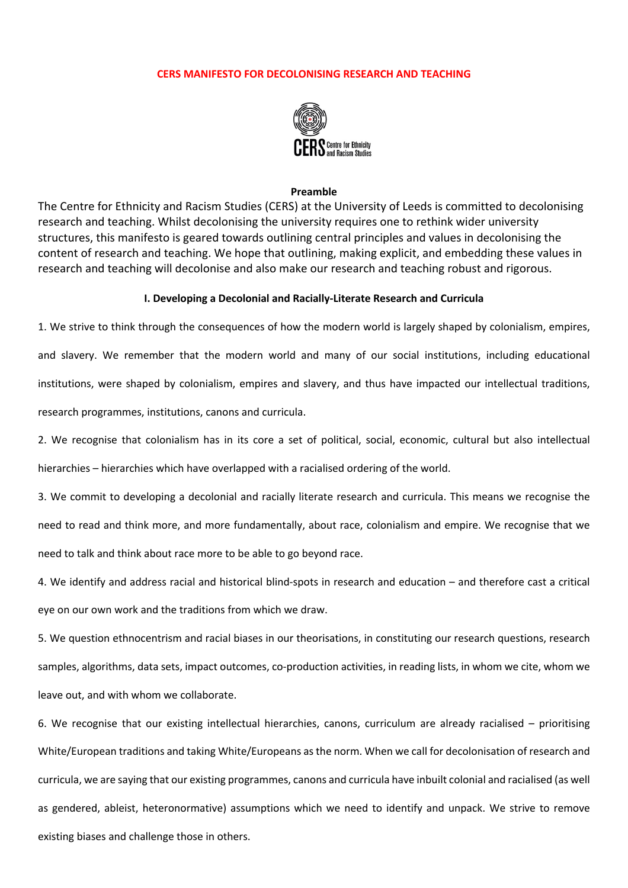# **CERS MANIFESTO FOR DECOLONISING RESEARCH AND TEACHING**



### **Preamble**

The Centre for Ethnicity and Racism Studies (CERS) at the University of Leeds is committed to decolonising research and teaching. Whilst decolonising the university requires one to rethink wider university structures, this manifesto is geared towards outlining central principles and values in decolonising the content of research and teaching. We hope that outlining, making explicit, and embedding these values in research and teaching will decolonise and also make our research and teaching robust and rigorous.

### **I. Developing a Decolonial and Racially-Literate Research and Curricula**

1. We strive to think through the consequences of how the modern world is largely shaped by colonialism, empires, and slavery. We remember that the modern world and many of our social institutions, including educational institutions, were shaped by colonialism, empires and slavery, and thus have impacted our intellectual traditions, research programmes, institutions, canons and curricula.

2. We recognise that colonialism has in its core a set of political, social, economic, cultural but also intellectual hierarchies – hierarchies which have overlapped with a racialised ordering of the world.

3. We commit to developing a decolonial and racially literate research and curricula. This means we recognise the need to read and think more, and more fundamentally, about race, colonialism and empire. We recognise that we need to talk and think about race more to be able to go beyond race.

4. We identify and address racial and historical blind-spots in research and education – and therefore cast a critical eye on our own work and the traditions from which we draw.

5. We question ethnocentrism and racial biases in our theorisations, in constituting our research questions, research samples, algorithms, data sets, impact outcomes, co-production activities, in reading lists, in whom we cite, whom we leave out, and with whom we collaborate.

6. We recognise that our existing intellectual hierarchies, canons, curriculum are already racialised – prioritising White/European traditions and taking White/Europeans as the norm. When we call for decolonisation of research and curricula, we are saying that our existing programmes, canons and curricula have inbuilt colonial and racialised (as well as gendered, ableist, heteronormative) assumptions which we need to identify and unpack. We strive to remove existing biases and challenge those in others.